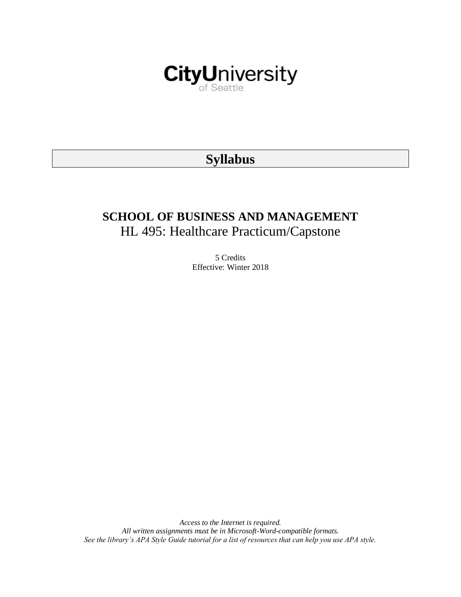

# **Syllabus**

# **SCHOOL OF BUSINESS AND MANAGEMENT** HL 495: Healthcare Practicum/Capstone

5 Credits Effective: Winter 2018

*Access to the Internet is required. All written assignments must be in Microsoft-Word-compatible formats. See the library's APA Style Guide tutorial for a list of resources that can help you use APA style.*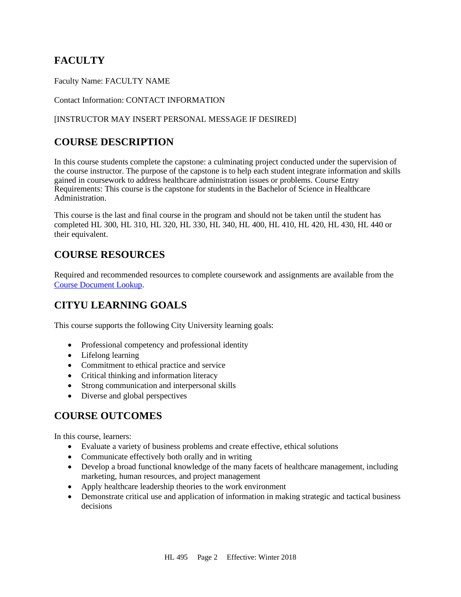# **FACULTY**

Faculty Name: FACULTY NAME

### Contact Information: CONTACT INFORMATION

### [INSTRUCTOR MAY INSERT PERSONAL MESSAGE IF DESIRED]

# **COURSE DESCRIPTION**

In this course students complete the capstone: a culminating project conducted under the supervision of the course instructor. The purpose of the capstone is to help each student integrate information and skills gained in coursework to address healthcare administration issues or problems. Course Entry Requirements: This course is the capstone for students in the Bachelor of Science in Healthcare Administration.

This course is the last and final course in the program and should not be taken until the student has completed HL 300, HL 310, HL 320, HL 330, HL 340, HL 400, HL 410, HL 420, HL 430, HL 440 or their equivalent.

# **COURSE RESOURCES**

Required and recommended resources to complete coursework and assignments are available from the [Course Document Lookup.](https://documents.cityu.edu/coursedocumentlookup.aspx)

# **CITYU LEARNING GOALS**

This course supports the following City University learning goals:

- Professional competency and professional identity
- Lifelong learning
- Commitment to ethical practice and service
- Critical thinking and information literacy
- Strong communication and interpersonal skills
- Diverse and global perspectives

# **COURSE OUTCOMES**

In this course, learners:

- Evaluate a variety of business problems and create effective, ethical solutions
- Communicate effectively both orally and in writing
- Develop a broad functional knowledge of the many facets of healthcare management, including marketing, human resources, and project management
- Apply healthcare leadership theories to the work environment
- Demonstrate critical use and application of information in making strategic and tactical business decisions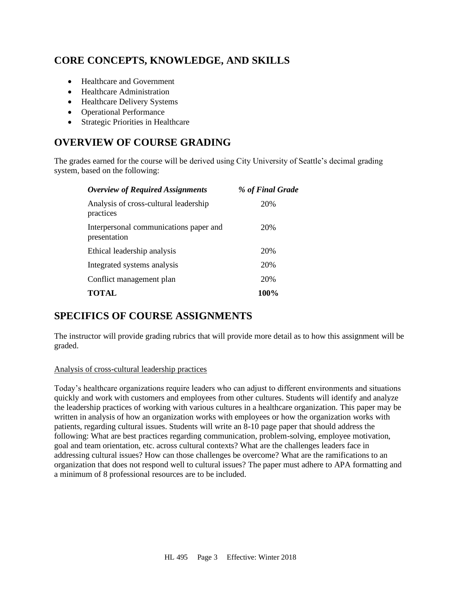# **CORE CONCEPTS, KNOWLEDGE, AND SKILLS**

- Healthcare and Government
- Healthcare Administration
- Healthcare Delivery Systems
- Operational Performance
- Strategic Priorities in Healthcare

# **OVERVIEW OF COURSE GRADING**

The grades earned for the course will be derived using City University of Seattle's decimal grading system, based on the following:

| <b>Overview of Required Assignments</b>                | % of Final Grade |
|--------------------------------------------------------|------------------|
| Analysis of cross-cultural leadership<br>practices     | 20%              |
| Interpersonal communications paper and<br>presentation | 20%              |
| Ethical leadership analysis                            | 20%              |
| Integrated systems analysis                            | 20%              |
| Conflict management plan                               | 20%              |
| <b>TOTAL</b>                                           | 100%             |

# **SPECIFICS OF COURSE ASSIGNMENTS**

The instructor will provide grading rubrics that will provide more detail as to how this assignment will be graded.

### Analysis of cross-cultural leadership practices

Today's healthcare organizations require leaders who can adjust to different environments and situations quickly and work with customers and employees from other cultures. Students will identify and analyze the leadership practices of working with various cultures in a healthcare organization. This paper may be written in analysis of how an organization works with employees or how the organization works with patients, regarding cultural issues. Students will write an 8-10 page paper that should address the following: What are best practices regarding communication, problem-solving, employee motivation, goal and team orientation, etc. across cultural contexts? What are the challenges leaders face in addressing cultural issues? How can those challenges be overcome? What are the ramifications to an organization that does not respond well to cultural issues? The paper must adhere to APA formatting and a minimum of 8 professional resources are to be included.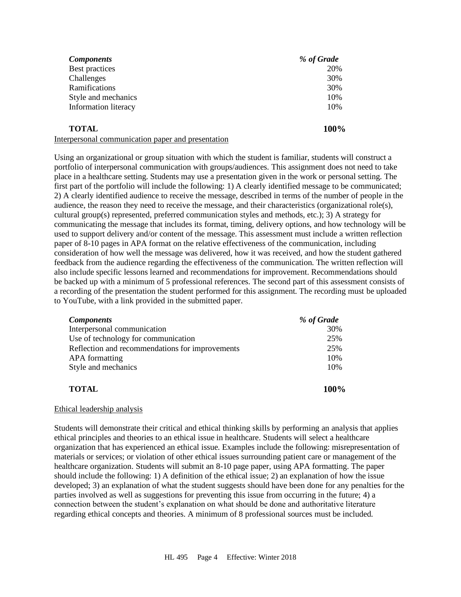| <b>Components</b>                                                               | % of Grade |
|---------------------------------------------------------------------------------|------------|
| Best practices                                                                  | 20%        |
| Challenges                                                                      | 30%        |
| Ramifications                                                                   | 30%        |
| Style and mechanics                                                             | 10%        |
| Information literacy                                                            | 10%        |
| <b>TOTAL</b><br>$\mathbf{1}$ and $\mathbf{1}$ and $\mathbf{1}$ and $\mathbf{1}$ | 100%       |

Interpersonal communication paper and presentation

Using an organizational or group situation with which the student is familiar, students will construct a portfolio of interpersonal communication with groups/audiences. This assignment does not need to take place in a healthcare setting. Students may use a presentation given in the work or personal setting. The first part of the portfolio will include the following: 1) A clearly identified message to be communicated; 2) A clearly identified audience to receive the message, described in terms of the number of people in the audience, the reason they need to receive the message, and their characteristics (organizational role(s), cultural group(s) represented, preferred communication styles and methods, etc.); 3) A strategy for communicating the message that includes its format, timing, delivery options, and how technology will be used to support delivery and/or content of the message. This assessment must include a written reflection paper of 8-10 pages in APA format on the relative effectiveness of the communication, including consideration of how well the message was delivered, how it was received, and how the student gathered feedback from the audience regarding the effectiveness of the communication. The written reflection will also include specific lessons learned and recommendations for improvement. Recommendations should be backed up with a minimum of 5 professional references. The second part of this assessment consists of a recording of the presentation the student performed for this assignment. The recording must be uploaded to YouTube, with a link provided in the submitted paper.

| <b>Components</b>                               | % of Grade  |
|-------------------------------------------------|-------------|
| Interpersonal communication                     | 30%         |
| Use of technology for communication             | 25%         |
| Reflection and recommendations for improvements | 25%         |
| <b>APA</b> formatting                           | 10%         |
| Style and mechanics                             | 10%         |
| <b>TOTAL</b>                                    | <b>100%</b> |

### Ethical leadership analysis

Students will demonstrate their critical and ethical thinking skills by performing an analysis that applies ethical principles and theories to an ethical issue in healthcare. Students will select a healthcare organization that has experienced an ethical issue. Examples include the following: misrepresentation of materials or services; or violation of other ethical issues surrounding patient care or management of the healthcare organization. Students will submit an 8-10 page paper, using APA formatting. The paper should include the following: 1) A definition of the ethical issue; 2) an explanation of how the issue developed; 3) an explanation of what the student suggests should have been done for any penalties for the parties involved as well as suggestions for preventing this issue from occurring in the future; 4) a connection between the student's explanation on what should be done and authoritative literature regarding ethical concepts and theories. A minimum of 8 professional sources must be included.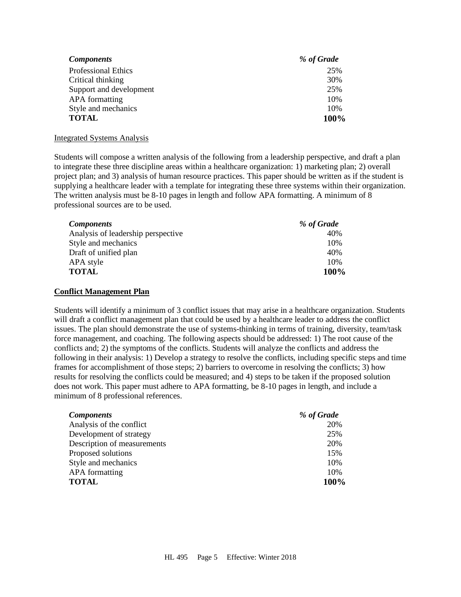| <b>Components</b>          | % of Grade |
|----------------------------|------------|
| <b>Professional Ethics</b> | 25%        |
| Critical thinking          | 30%        |
| Support and development    | 25%        |
| <b>APA</b> formatting      | 10%        |
| Style and mechanics        | 10%        |
| <b>TOTAL</b>               | 100%       |

#### Integrated Systems Analysis

Students will compose a written analysis of the following from a leadership perspective, and draft a plan to integrate these three discipline areas within a healthcare organization: 1) marketing plan; 2) overall project plan; and 3) analysis of human resource practices. This paper should be written as if the student is supplying a healthcare leader with a template for integrating these three systems within their organization. The written analysis must be 8-10 pages in length and follow APA formatting. A minimum of 8 professional sources are to be used.

| <b>Components</b>                  | % of Grade |
|------------------------------------|------------|
| Analysis of leadership perspective | 40%        |
| Style and mechanics                | 10%        |
| Draft of unified plan              | 40%        |
| APA style                          | 10%        |
| <b>TOTAL</b>                       | 100%       |

#### **Conflict Management Plan**

Students will identify a minimum of 3 conflict issues that may arise in a healthcare organization. Students will draft a conflict management plan that could be used by a healthcare leader to address the conflict issues. The plan should demonstrate the use of systems-thinking in terms of training, diversity, team/task force management, and coaching. The following aspects should be addressed: 1) The root cause of the conflicts and; 2) the symptoms of the conflicts. Students will analyze the conflicts and address the following in their analysis: 1) Develop a strategy to resolve the conflicts, including specific steps and time frames for accomplishment of those steps; 2) barriers to overcome in resolving the conflicts; 3) how results for resolving the conflicts could be measured; and 4) steps to be taken if the proposed solution does not work. This paper must adhere to APA formatting, be 8-10 pages in length, and include a minimum of 8 professional references.

| <b>Components</b>           | % of Grade |
|-----------------------------|------------|
| Analysis of the conflict    | 20%        |
| Development of strategy     | 25%        |
| Description of measurements | 20%        |
| Proposed solutions          | 15%        |
| Style and mechanics         | 10%        |
| <b>APA</b> formatting       | 10%        |
| <b>TOTAL</b>                | 100%       |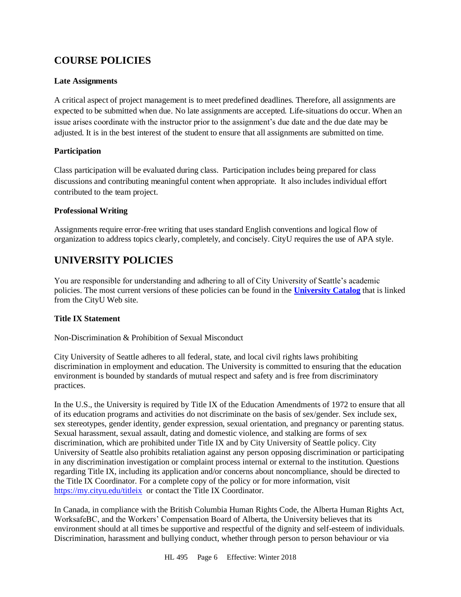# **COURSE POLICIES**

### **Late Assignments**

A critical aspect of project management is to meet predefined deadlines. Therefore, all assignments are expected to be submitted when due. No late assignments are accepted. Life-situations do occur. When an issue arises coordinate with the instructor prior to the assignment's due date and the due date may be adjusted. It is in the best interest of the student to ensure that all assignments are submitted on time.

### **Participation**

Class participation will be evaluated during class. Participation includes being prepared for class discussions and contributing meaningful content when appropriate. It also includes individual effort contributed to the team project.

### **Professional Writing**

Assignments require error-free writing that uses standard English conventions and logical flow of organization to address topics clearly, completely, and concisely. CityU requires the use of APA style.

# **UNIVERSITY POLICIES**

You are responsible for understanding and adhering to all of City University of Seattle's academic policies. The most current versions of these policies can be found in the **[University Catalog](http://www.cityu.edu/catalog/)** that is linked from the CityU Web site.

## **Title IX Statement**

Non-Discrimination & Prohibition of Sexual Misconduct

City University of Seattle adheres to all federal, state, and local civil rights laws prohibiting discrimination in employment and education. The University is committed to ensuring that the education environment is bounded by standards of mutual respect and safety and is free from discriminatory practices.

In the U.S., the University is required by Title IX of the Education Amendments of 1972 to ensure that all of its education programs and activities do not discriminate on the basis of sex/gender. Sex include sex, sex stereotypes, gender identity, gender expression, sexual orientation, and pregnancy or parenting status. Sexual harassment, sexual assault, dating and domestic violence, and stalking are forms of sex discrimination, which are prohibited under Title IX and by City University of Seattle policy. City University of Seattle also prohibits retaliation against any person opposing discrimination or participating in any discrimination investigation or complaint process internal or external to the institution. Questions regarding Title IX, including its application and/or concerns about noncompliance, should be directed to the Title IX Coordinator. For a complete copy of the policy or for more information, visit [https://my.cityu.edu/titleix](https://nam11.safelinks.protection.outlook.com/?url=https%3A%2F%2Fmy.cityu.edu%2Ftitleix&data=04%7C01%7Ckriuchkovaa%40cityu.edu%7C9232e27347144c19de4a08d8e2987526%7Cb3fa96d9f5154662add763d854e39e63%7C1%7C0%7C637508491767279794%7CUnknown%7CTWFpbGZsb3d8eyJWIjoiMC4wLjAwMDAiLCJQIjoiV2luMzIiLCJBTiI6Ik1haWwiLCJXVCI6Mn0%3D%7C1000&sdata=oHVrDtgYs0rcN3Q5khchU2PiMPOONKbQ%2FTQ6xw8vHBE%3D&reserved=0) or contact the Title IX Coordinator.

In Canada, in compliance with the British Columbia Human Rights Code, the Alberta Human Rights Act, WorksafeBC, and the Workers' Compensation Board of Alberta, the University believes that its environment should at all times be supportive and respectful of the dignity and self-esteem of individuals. Discrimination, harassment and bullying conduct, whether through person to person behaviour or via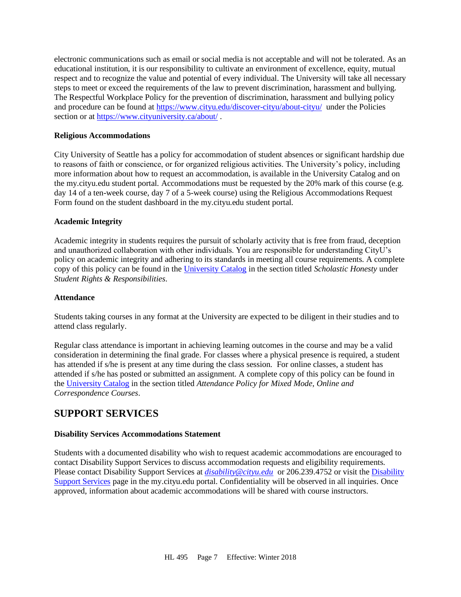electronic communications such as email or social media is not acceptable and will not be tolerated. As an educational institution, it is our responsibility to cultivate an environment of excellence, equity, mutual respect and to recognize the value and potential of every individual. The University will take all necessary steps to meet or exceed the requirements of the law to prevent discrimination, harassment and bullying. The Respectful Workplace Policy for the prevention of discrimination, harassment and bullying policy and procedure can be found at [https://www.cityu.edu/discover-cityu/about-cityu/](https://nam11.safelinks.protection.outlook.com/?url=https%3A%2F%2Fwww.cityu.edu%2Fdiscover-cityu%2Fabout-cityu%2F&data=04%7C01%7Ckriuchkovaa%40cityu.edu%7C9232e27347144c19de4a08d8e2987526%7Cb3fa96d9f5154662add763d854e39e63%7C1%7C0%7C637508491767279794%7CUnknown%7CTWFpbGZsb3d8eyJWIjoiMC4wLjAwMDAiLCJQIjoiV2luMzIiLCJBTiI6Ik1haWwiLCJXVCI6Mn0%3D%7C1000&sdata=j2pDxXXWEOIDxcjQMw9%2F2WcLKb6ep99EAElsMfCjej8%3D&reserved=0) under the Policies section or at [https://www.cityuniversity.ca/about/](https://nam11.safelinks.protection.outlook.com/?url=https%3A%2F%2Fwww.cityuniversity.ca%2Fabout%2F&data=04%7C01%7Ckriuchkovaa%40cityu.edu%7C9232e27347144c19de4a08d8e2987526%7Cb3fa96d9f5154662add763d854e39e63%7C1%7C0%7C637508491767289784%7CUnknown%7CTWFpbGZsb3d8eyJWIjoiMC4wLjAwMDAiLCJQIjoiV2luMzIiLCJBTiI6Ik1haWwiLCJXVCI6Mn0%3D%7C1000&sdata=EK3wGt5QOtWpO%2FJ5yQ4TaSEz1cL3kZq4ez4339q7Wk8%3D&reserved=0).

### **Religious Accommodations**

City University of Seattle has a policy for accommodation of student absences or significant hardship due to reasons of faith or conscience, or for organized religious activities. The University's policy, including more information about how to request an accommodation, is available in the University Catalog and on the my.cityu.edu student portal. Accommodations must be requested by the 20% mark of this course (e.g. day 14 of a ten-week course, day 7 of a 5-week course) using the Religious Accommodations Request Form found on the student dashboard in the my.cityu.edu student portal.

### **Academic Integrity**

Academic integrity in students requires the pursuit of scholarly activity that is free from fraud, deception and unauthorized collaboration with other individuals. You are responsible for understanding CityU's policy on academic integrity and adhering to its standards in meeting all course requirements. A complete copy of this policy can be found in the [University Catalog](http://www.cityu.edu/catalog/) in the section titled *Scholastic Honesty* under *Student Rights & Responsibilities*.

### **Attendance**

Students taking courses in any format at the University are expected to be diligent in their studies and to attend class regularly.

Regular class attendance is important in achieving learning outcomes in the course and may be a valid consideration in determining the final grade. For classes where a physical presence is required, a student has attended if s/he is present at any time during the class session. For online classes, a student has attended if s/he has posted or submitted an assignment. A complete copy of this policy can be found in the [University Catalog](http://www.cityu.edu/catalog/) in the section titled *Attendance Policy for Mixed Mode, Online and Correspondence Courses*.

# **SUPPORT SERVICES**

### **Disability Services Accommodations Statement**

Students with a documented disability who wish to request academic accommodations are encouraged to contact Disability Support Services to discuss accommodation requests and eligibility requirements. Please contact Disability Support Services at *[disability@cityu.edu](mailto:disability@cityu.edu)* or 206.239.4752 or visit the [Disability](http://goo.gl/593iM4)  [Support Services](http://goo.gl/593iM4) page in the my.cityu.edu portal. Confidentiality will be observed in all inquiries. Once approved, information about academic accommodations will be shared with course instructors.